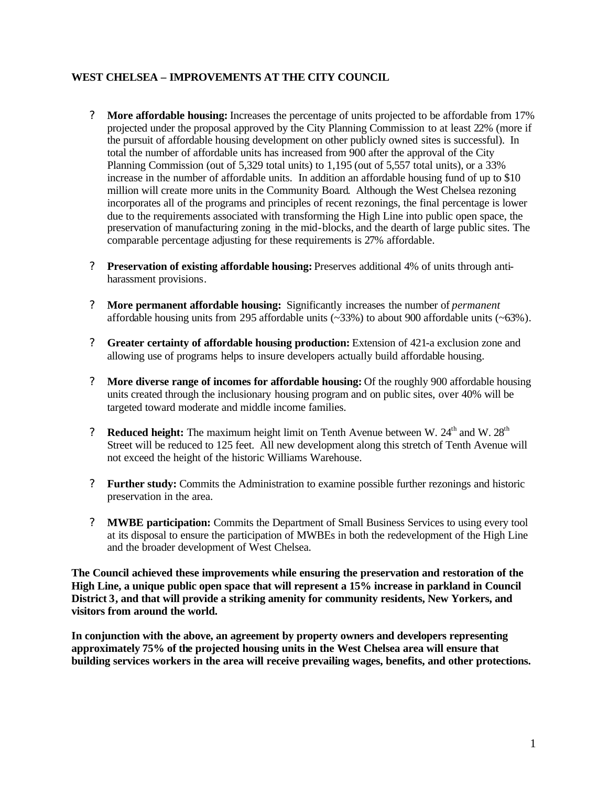# **WEST CHELSEA – IMPROVEMENTS AT THE CITY COUNCIL**

- ? **More affordable housing:** Increases the percentage of units projected to be affordable from 17% projected under the proposal approved by the City Planning Commission to at least 22% (more if the pursuit of affordable housing development on other publicly owned sites is successful). In total the number of affordable units has increased from 900 after the approval of the City Planning Commission (out of 5,329 total units) to 1,195 (out of 5,557 total units), or a 33% increase in the number of affordable units. In addition an affordable housing fund of up to \$10 million will create more units in the Community Board. Although the West Chelsea rezoning incorporates all of the programs and principles of recent rezonings, the final percentage is lower due to the requirements associated with transforming the High Line into public open space, the preservation of manufacturing zoning in the mid-blocks, and the dearth of large public sites. The comparable percentage adjusting for these requirements is 27% affordable.
- ? **Preservation of existing affordable housing:** Preserves additional 4% of units through antiharassment provisions.
- ? **More permanent affordable housing:** Significantly increases the number of *permanent* affordable housing units from 295 affordable units  $(\sim 33\%)$  to about 900 affordable units  $(\sim 63\%)$ .
- ? **Greater certainty of affordable housing production:** Extension of 421-a exclusion zone and allowing use of programs helps to insure developers actually build affordable housing.
- ? **More diverse range of incomes for affordable housing:** Of the roughly 900 affordable housing units created through the inclusionary housing program and on public sites, over 40% will be targeted toward moderate and middle income families.
- ? **Reduced height:** The maximum height limit on Tenth Avenue between W. 24<sup>th</sup> and W. 28<sup>th</sup> Street will be reduced to 125 feet. All new development along this stretch of Tenth Avenue will not exceed the height of the historic Williams Warehouse.
- ? **Further study:** Commits the Administration to examine possible further rezonings and historic preservation in the area.
- ? **MWBE participation:** Commits the Department of Small Business Services to using every tool at its disposal to ensure the participation of MWBEs in both the redevelopment of the High Line and the broader development of West Chelsea.

**The Council achieved these improvements while ensuring the preservation and restoration of the High Line, a unique public open space that will represent a 15% increase in parkland in Council District 3, and that will provide a striking amenity for community residents, New Yorkers, and visitors from around the world.**

**In conjunction with the above, an agreement by property owners and developers representing approximately 75% of the projected housing units in the West Chelsea area will ensure that building services workers in the area will receive prevailing wages, benefits, and other protections.**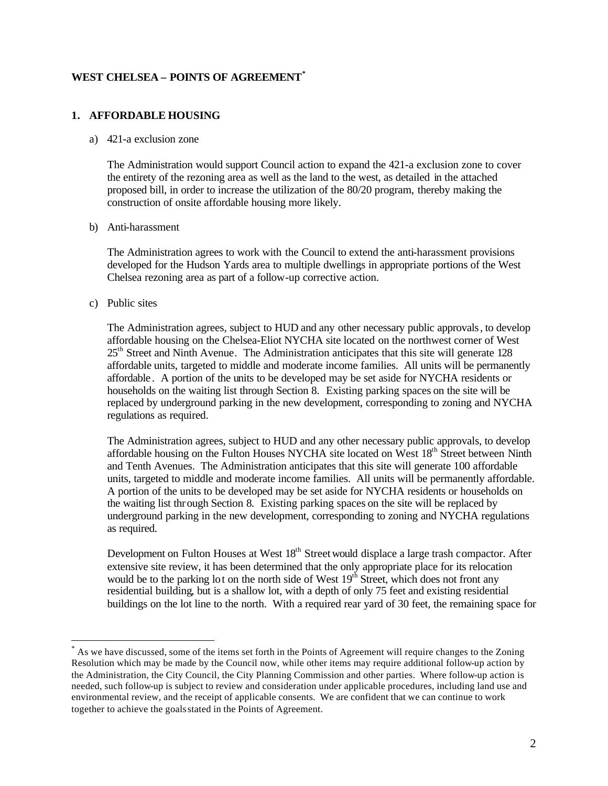## **WEST CHELSEA – POINTS OF AGREEMENT\***

### **1. AFFORDABLE HOUSING**

#### a) 421-a exclusion zone

The Administration would support Council action to expand the 421-a exclusion zone to cover the entirety of the rezoning area as well as the land to the west, as detailed in the attached proposed bill, in order to increase the utilization of the 80/20 program, thereby making the construction of onsite affordable housing more likely.

### b) Anti-harassment

The Administration agrees to work with the Council to extend the anti-harassment provisions developed for the Hudson Yards area to multiple dwellings in appropriate portions of the West Chelsea rezoning area as part of a follow-up corrective action.

### c) Public sites

 $\overline{a}$ 

The Administration agrees, subject to HUD and any other necessary public approvals, to develop affordable housing on the Chelsea-Eliot NYCHA site located on the northwest corner of West  $25<sup>th</sup>$  Street and Ninth Avenue. The Administration anticipates that this site will generate 128 affordable units, targeted to middle and moderate income families. All units will be permanently affordable. A portion of the units to be developed may be set aside for NYCHA residents or households on the waiting list through Section 8. Existing parking spaces on the site will be replaced by underground parking in the new development, corresponding to zoning and NYCHA regulations as required.

The Administration agrees, subject to HUD and any other necessary public approvals, to develop affordable housing on the Fulton Houses NYCHA site located on West 18<sup>th</sup> Street between Ninth and Tenth Avenues. The Administration anticipates that this site will generate 100 affordable units, targeted to middle and moderate income families. All units will be permanently affordable. A portion of the units to be developed may be set aside for NYCHA residents or households on the waiting list through Section 8. Existing parking spaces on the site will be replaced by underground parking in the new development, corresponding to zoning and NYCHA regulations as required.

Development on Fulton Houses at West 18<sup>th</sup> Street would displace a large trash compactor. After extensive site review, it has been determined that the only appropriate place for its relocation would be to the parking lot on the north side of West  $19<sup>th</sup>$  Street, which does not front any residential building, but is a shallow lot, with a depth of only 75 feet and existing residential buildings on the lot line to the north. With a required rear yard of 30 feet, the remaining space for

<sup>\*</sup> As we have discussed, some of the items set forth in the Points of Agreement will require changes to the Zoning Resolution which may be made by the Council now, while other items may require additional follow-up action by the Administration, the City Council, the City Planning Commission and other parties. Where follow-up action is needed, such follow-up is subject to review and consideration under applicable procedures, including land use and environmental review, and the receipt of applicable consents. We are confident that we can continue to work together to achieve the goals stated in the Points of Agreement.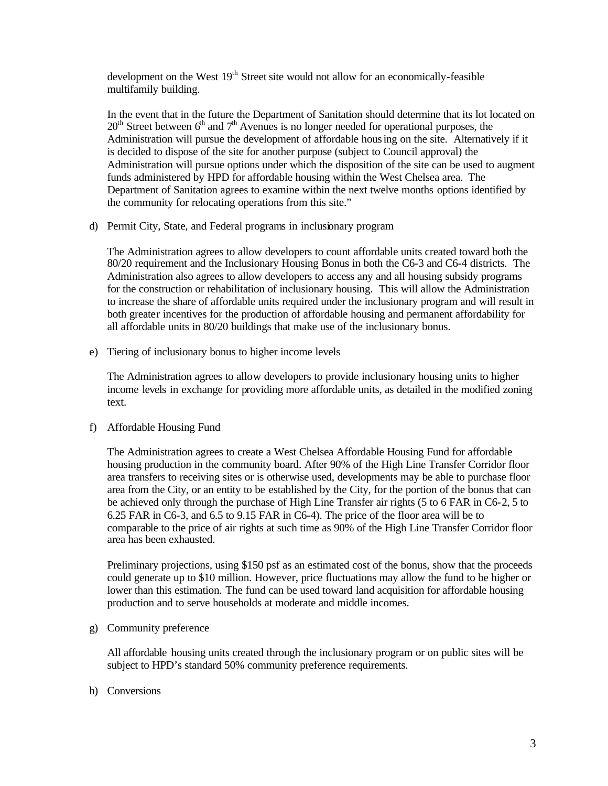development on the West 19<sup>th</sup> Street site would not allow for an economically-feasible multifamily building.

In the event that in the future the Department of Sanitation should determine that its lot located on  $20<sup>th</sup>$  Street between  $6<sup>th</sup>$  and  $7<sup>th</sup>$  Avenues is no longer needed for operational purposes, the Administration will pursue the development of affordable housing on the site. Alternatively if it is decided to dispose of the site for another purpose (subject to Council approval) the Administration will pursue options under which the disposition of the site can be used to augment funds administered by HPD for affordable housing within the West Chelsea area. The Department of Sanitation agrees to examine within the next twelve months options identified by the community for relocating operations from this site."

d) Permit City, State, and Federal programs in inclusionary program

The Administration agrees to allow developers to count affordable units created toward both the 80/20 requirement and the Inclusionary Housing Bonus in both the C6-3 and C6-4 districts. The Administration also agrees to allow developers to access any and all housing subsidy programs for the construction or rehabilitation of inclusionary housing. This will allow the Administration to increase the share of affordable units required under the inclusionary program and will result in both greater incentives for the production of affordable housing and permanent affordability for all affordable units in 80/20 buildings that make use of the inclusionary bonus.

e) Tiering of inclusionary bonus to higher income levels

The Administration agrees to allow developers to provide inclusionary housing units to higher income levels in exchange for providing more affordable units, as detailed in the modified zoning text.

f) Affordable Housing Fund

The Administration agrees to create a West Chelsea Affordable Housing Fund for affordable housing production in the community board. After 90% of the High Line Transfer Corridor floor area transfers to receiving sites or is otherwise used, developments may be able to purchase floor area from the City, or an entity to be established by the City, for the portion of the bonus that can be achieved only through the purchase of High Line Transfer air rights (5 to 6 FAR in C6-2, 5 to 6.25 FAR in C6-3, and 6.5 to 9.15 FAR in C6-4). The price of the floor area will be to comparable to the price of air rights at such time as 90% of the High Line Transfer Corridor floor area has been exhausted.

Preliminary projections, using \$150 psf as an estimated cost of the bonus, show that the proceeds could generate up to \$10 million. However, price fluctuations may allow the fund to be higher or lower than this estimation. The fund can be used toward land acquisition for affordable housing production and to serve households at moderate and middle incomes.

g) Community preference

All affordable housing units created through the inclusionary program or on public sites will be subject to HPD's standard 50% community preference requirements.

h) Conversions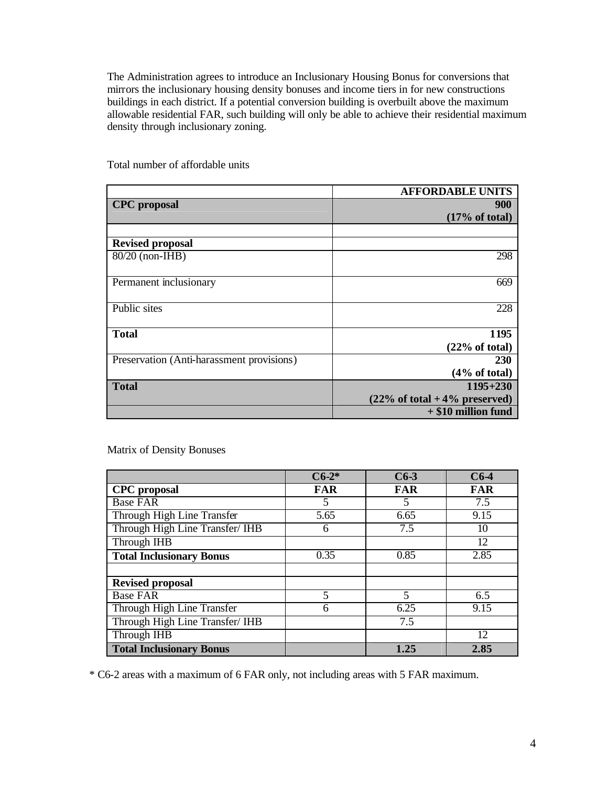The Administration agrees to introduce an Inclusionary Housing Bonus for conversions that mirrors the inclusionary housing density bonuses and income tiers in for new constructions buildings in each district. If a potential conversion building is overbuilt above the maximum allowable residential FAR, such building will only be able to achieve their residential maximum density through inclusionary zoning.

|                                           | <b>AFFORDABLE UNITS</b>                           |
|-------------------------------------------|---------------------------------------------------|
| <b>CPC</b> proposal                       | 900                                               |
|                                           | (17% of total)                                    |
|                                           |                                                   |
| <b>Revised proposal</b>                   |                                                   |
| $80/20$ (non-IHB)                         | 298                                               |
|                                           |                                                   |
| Permanent inclusionary                    | 669                                               |
|                                           |                                                   |
| Public sites                              | 228                                               |
|                                           |                                                   |
| <b>Total</b>                              | 1195                                              |
|                                           | (22% of total)                                    |
| Preservation (Anti-harassment provisions) | <b>230</b>                                        |
|                                           | $(4\% \text{ of total})$                          |
| <b>Total</b>                              | $1195 + 230$                                      |
|                                           | $(22\% \text{ of total} + 4\% \text{ preserved})$ |
|                                           | $+$ \$10 million fund                             |

Total number of affordable units

### Matrix of Density Bonuses

|                                 | $C6-2*$    | $C6-3$     | $C6-4$     |
|---------------------------------|------------|------------|------------|
| <b>CPC</b> proposal             | <b>FAR</b> | <b>FAR</b> | <b>FAR</b> |
| <b>Base FAR</b>                 | 5          | 5          | 7.5        |
| Through High Line Transfer      | 5.65       | 6.65       | 9.15       |
| Through High Line Transfer/ IHB | 6          | 7.5        | 10         |
| Through IHB                     |            |            | 12         |
| <b>Total Inclusionary Bonus</b> | 0.35       | 0.85       | 2.85       |
|                                 |            |            |            |
| <b>Revised proposal</b>         |            |            |            |
| <b>Base FAR</b>                 | 5          | 5          | 6.5        |
| Through High Line Transfer      | 6          | 6.25       | 9.15       |
| Through High Line Transfer/ IHB |            | 7.5        |            |
| Through IHB                     |            |            | 12         |
| <b>Total Inclusionary Bonus</b> |            | 1.25       | 2.85       |

\* C6-2 areas with a maximum of 6 FAR only, not including areas with 5 FAR maximum.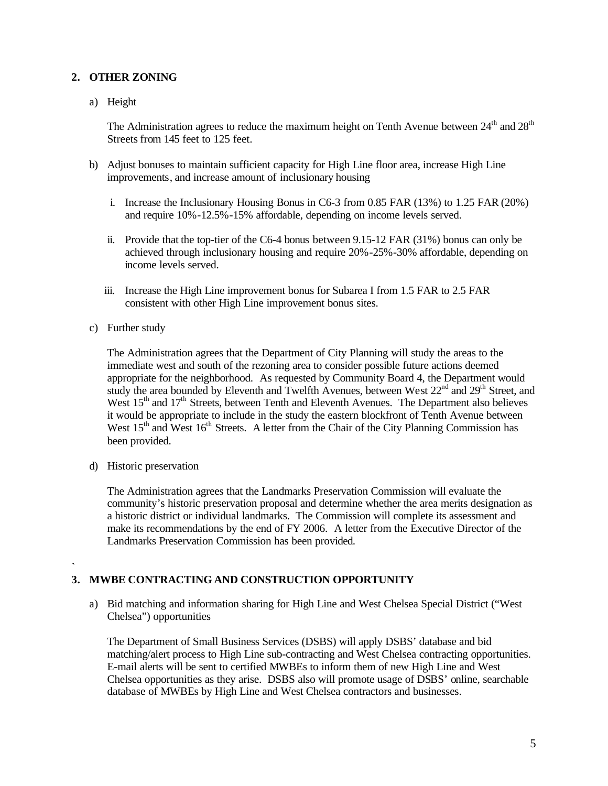# **2. OTHER ZONING**

a) Height

The Administration agrees to reduce the maximum height on Tenth Avenue between  $24<sup>th</sup>$  and  $28<sup>th</sup>$ Streets from 145 feet to 125 feet.

- b) Adjust bonuses to maintain sufficient capacity for High Line floor area, increase High Line improvements, and increase amount of inclusionary housing
	- i. Increase the Inclusionary Housing Bonus in C6-3 from 0.85 FAR (13%) to 1.25 FAR (20%) and require 10%-12.5%-15% affordable, depending on income levels served.
	- ii. Provide that the top-tier of the C6-4 bonus between 9.15-12 FAR (31%) bonus can only be achieved through inclusionary housing and require 20%-25%-30% affordable, depending on income levels served.
	- iii. Increase the High Line improvement bonus for Subarea I from 1.5 FAR to 2.5 FAR consistent with other High Line improvement bonus sites.
- c) Further study

The Administration agrees that the Department of City Planning will study the areas to the immediate west and south of the rezoning area to consider possible future actions deemed appropriate for the neighborhood. As requested by Community Board 4, the Department would study the area bounded by Eleventh and Twelfth Avenues, between West  $22<sup>nd</sup>$  and  $29<sup>th</sup>$  Street, and West 15<sup>th</sup> and 17<sup>th</sup> Streets, between Tenth and Eleventh Avenues. The Department also believes it would be appropriate to include in the study the eastern blockfront of Tenth Avenue between West  $15<sup>th</sup>$  and West  $16<sup>th</sup>$  Streets. A letter from the Chair of the City Planning Commission has been provided.

d) Historic preservation

The Administration agrees that the Landmarks Preservation Commission will evaluate the community's historic preservation proposal and determine whether the area merits designation as a historic district or individual landmarks. The Commission will complete its assessment and make its recommendations by the end of FY 2006. A letter from the Executive Director of the Landmarks Preservation Commission has been provided.

**` 3. MWBE CONTRACTING AND CONSTRUCTION OPPORTUNITY**

a) Bid matching and information sharing for High Line and West Chelsea Special District ("West Chelsea") opportunities

The Department of Small Business Services (DSBS) will apply DSBS' database and bid matching/alert process to High Line sub-contracting and West Chelsea contracting opportunities. E-mail alerts will be sent to certified MWBEs to inform them of new High Line and West Chelsea opportunities as they arise. DSBS also will promote usage of DSBS' online, searchable database of MWBEs by High Line and West Chelsea contractors and businesses.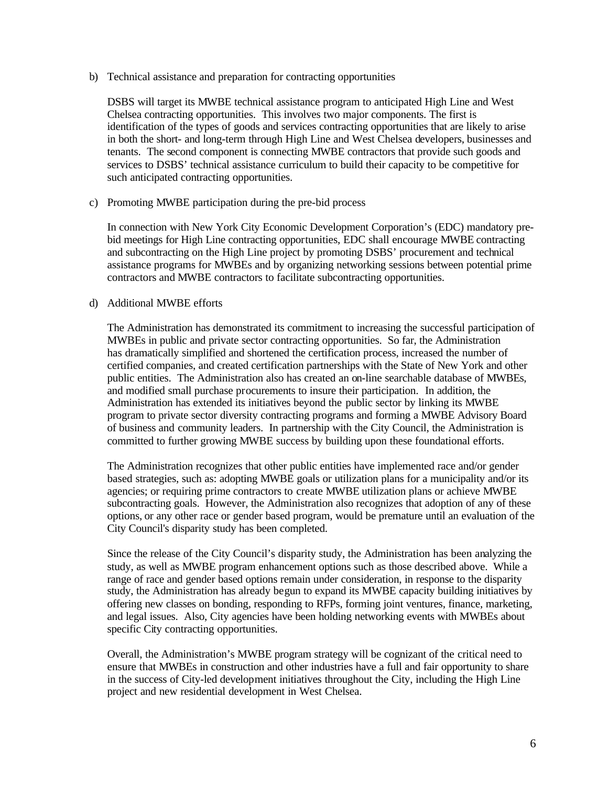b) Technical assistance and preparation for contracting opportunities

DSBS will target its MWBE technical assistance program to anticipated High Line and West Chelsea contracting opportunities. This involves two major components. The first is identification of the types of goods and services contracting opportunities that are likely to arise in both the short- and long-term through High Line and West Chelsea developers, businesses and tenants. The second component is connecting MWBE contractors that provide such goods and services to DSBS' technical assistance curriculum to build their capacity to be competitive for such anticipated contracting opportunities.

c) Promoting MWBE participation during the pre-bid process

In connection with New York City Economic Development Corporation's (EDC) mandatory prebid meetings for High Line contracting opportunities, EDC shall encourage MWBE contracting and subcontracting on the High Line project by promoting DSBS' procurement and technical assistance programs for MWBEs and by organizing networking sessions between potential prime contractors and MWBE contractors to facilitate subcontracting opportunities.

#### d) Additional MWBE efforts

The Administration has demonstrated its commitment to increasing the successful participation of MWBEs in public and private sector contracting opportunities. So far, the Administration has dramatically simplified and shortened the certification process, increased the number of certified companies, and created certification partnerships with the State of New York and other public entities. The Administration also has created an on-line searchable database of MWBEs, and modified small purchase procurements to insure their participation. In addition, the Administration has extended its initiatives beyond the public sector by linking its MWBE program to private sector diversity contracting programs and forming a MWBE Advisory Board of business and community leaders. In partnership with the City Council, the Administration is committed to further growing MWBE success by building upon these foundational efforts.

The Administration recognizes that other public entities have implemented race and/or gender based strategies, such as: adopting MWBE goals or utilization plans for a municipality and/or its agencies; or requiring prime contractors to create MWBE utilization plans or achieve MWBE subcontracting goals. However, the Administration also recognizes that adoption of any of these options, or any other race or gender based program, would be premature until an evaluation of the City Council's disparity study has been completed.

Since the release of the City Council's disparity study, the Administration has been analyzing the study, as well as MWBE program enhancement options such as those described above. While a range of race and gender based options remain under consideration, in response to the disparity study, the Administration has already begun to expand its MWBE capacity building initiatives by offering new classes on bonding, responding to RFPs, forming joint ventures, finance, marketing, and legal issues. Also, City agencies have been holding networking events with MWBEs about specific City contracting opportunities.

Overall, the Administration's MWBE program strategy will be cognizant of the critical need to ensure that MWBEs in construction and other industries have a full and fair opportunity to share in the success of City-led development initiatives throughout the City, including the High Line project and new residential development in West Chelsea.